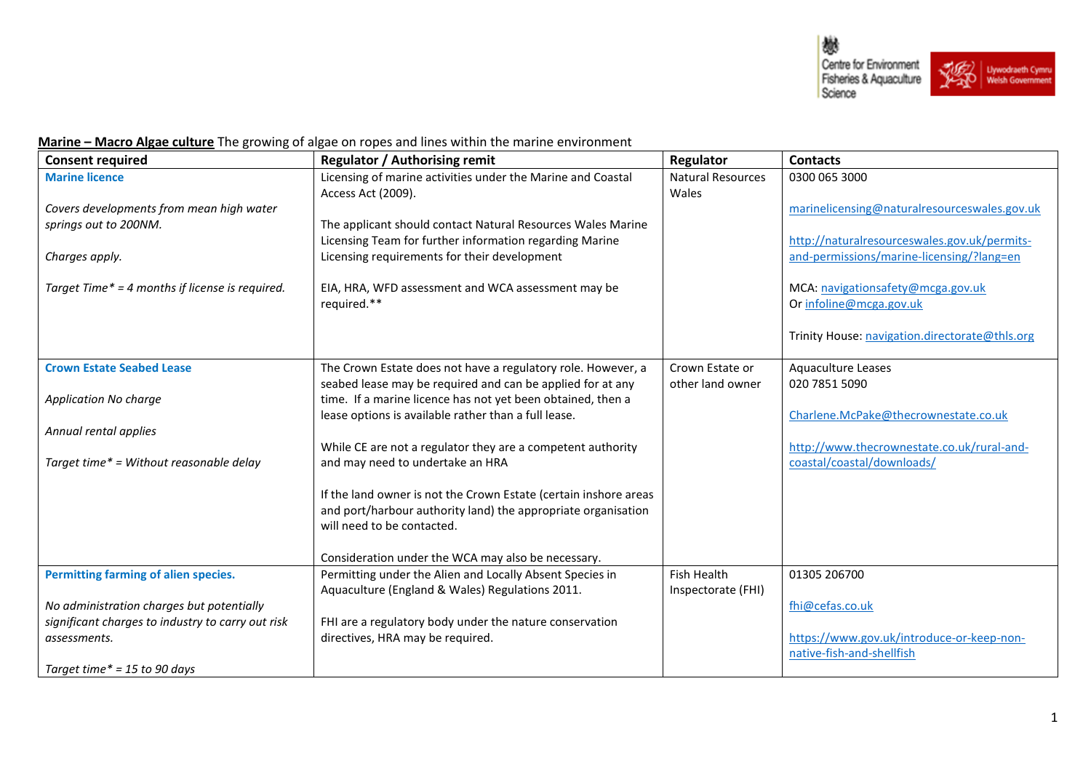

## **Marine - Macro Algae culture** The growing of algae on ropes and lines within the marine environment

| <b>Consent required</b>                           | <b>Regulator / Authorising remit</b>                             | Regulator                | <b>Contacts</b>                                |
|---------------------------------------------------|------------------------------------------------------------------|--------------------------|------------------------------------------------|
| <b>Marine licence</b>                             | Licensing of marine activities under the Marine and Coastal      | <b>Natural Resources</b> | 0300 065 3000                                  |
|                                                   | Access Act (2009).                                               | Wales                    |                                                |
| Covers developments from mean high water          |                                                                  |                          | marinelicensing@naturalresourceswales.gov.uk   |
| springs out to 200NM.                             | The applicant should contact Natural Resources Wales Marine      |                          |                                                |
|                                                   | Licensing Team for further information regarding Marine          |                          | http://naturalresourceswales.gov.uk/permits-   |
| Charges apply.                                    | Licensing requirements for their development                     |                          | and-permissions/marine-licensing/?lang=en      |
|                                                   |                                                                  |                          |                                                |
| Target Time* = 4 months if license is required.   | EIA, HRA, WFD assessment and WCA assessment may be               |                          | MCA: navigationsafety@mcga.gov.uk              |
|                                                   | required.**                                                      |                          | Or infoline@mcga.gov.uk                        |
|                                                   |                                                                  |                          | Trinity House: navigation.directorate@thls.org |
|                                                   |                                                                  |                          |                                                |
| <b>Crown Estate Seabed Lease</b>                  | The Crown Estate does not have a regulatory role. However, a     | Crown Estate or          | Aquaculture Leases                             |
|                                                   | seabed lease may be required and can be applied for at any       | other land owner         | 020 7851 5090                                  |
| Application No charge                             | time. If a marine licence has not yet been obtained, then a      |                          |                                                |
|                                                   | lease options is available rather than a full lease.             |                          | Charlene.McPake@thecrownestate.co.uk           |
| Annual rental applies                             |                                                                  |                          |                                                |
|                                                   | While CE are not a regulator they are a competent authority      |                          | http://www.thecrownestate.co.uk/rural-and-     |
| Target time* = Without reasonable delay           | and may need to undertake an HRA                                 |                          | coastal/coastal/downloads/                     |
|                                                   |                                                                  |                          |                                                |
|                                                   | If the land owner is not the Crown Estate (certain inshore areas |                          |                                                |
|                                                   | and port/harbour authority land) the appropriate organisation    |                          |                                                |
|                                                   | will need to be contacted.                                       |                          |                                                |
|                                                   | Consideration under the WCA may also be necessary.               |                          |                                                |
| Permitting farming of alien species.              | Permitting under the Alien and Locally Absent Species in         | <b>Fish Health</b>       | 01305 206700                                   |
|                                                   | Aquaculture (England & Wales) Regulations 2011.                  | Inspectorate (FHI)       |                                                |
| No administration charges but potentially         |                                                                  |                          | fhi@cefas.co.uk                                |
| significant charges to industry to carry out risk | FHI are a regulatory body under the nature conservation          |                          |                                                |
| assessments.                                      | directives, HRA may be required.                                 |                          | https://www.gov.uk/introduce-or-keep-non-      |
|                                                   |                                                                  |                          | native-fish-and-shellfish                      |
| Target time $* = 15$ to 90 days                   |                                                                  |                          |                                                |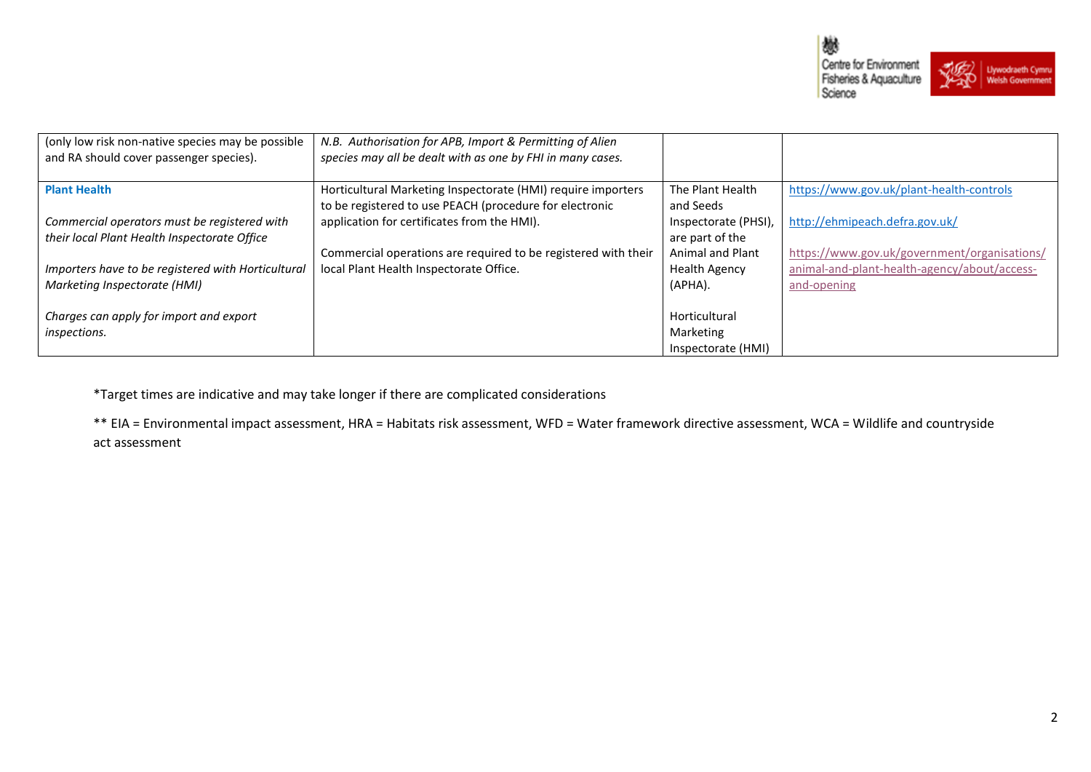



| (only low risk non-native species may be possible<br>and RA should cover passenger species). | N.B. Authorisation for APB, Import & Permitting of Alien<br>species may all be dealt with as one by FHI in many cases.  |                                          |                                                                                              |
|----------------------------------------------------------------------------------------------|-------------------------------------------------------------------------------------------------------------------------|------------------------------------------|----------------------------------------------------------------------------------------------|
| <b>Plant Health</b>                                                                          | Horticultural Marketing Inspectorate (HMI) require importers<br>to be registered to use PEACH (procedure for electronic | The Plant Health<br>and Seeds            | https://www.gov.uk/plant-health-controls                                                     |
| Commercial operators must be registered with<br>their local Plant Health Inspectorate Office | application for certificates from the HMI).                                                                             | Inspectorate (PHSI),<br>are part of the  | http://ehmipeach.defra.gov.uk/                                                               |
| Importers have to be registered with Horticultural                                           | Commercial operations are required to be registered with their<br>local Plant Health Inspectorate Office.               | Animal and Plant<br><b>Health Agency</b> | https://www.gov.uk/government/organisations/<br>animal-and-plant-health-agency/about/access- |
| Marketing Inspectorate (HMI)                                                                 |                                                                                                                         | (APHA).                                  | and-opening                                                                                  |
| Charges can apply for import and export<br>inspections.                                      |                                                                                                                         | Horticultural<br>Marketing               |                                                                                              |
|                                                                                              |                                                                                                                         | Inspectorate (HMI)                       |                                                                                              |

\*Target times are indicative and may take longer if there are complicated considerations

\*\* EIA = Environmental impact assessment, HRA = Habitats risk assessment, WFD = Water framework directive assessment, WCA = Wildlife and countryside act assessment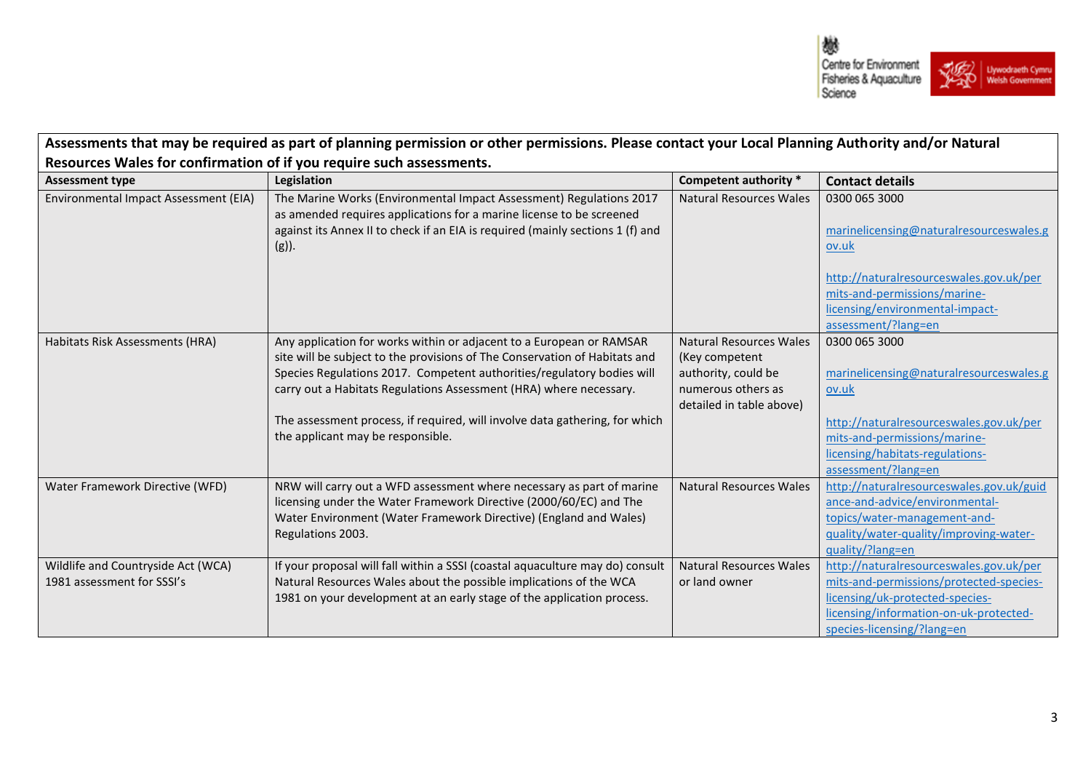

| Assessments that may be required as part of planning permission or other permissions. Please contact your Local Planning Authority and/or Natural |                                                                                                                                                                                                                                           |                                |                                                                                                                                   |  |  |
|---------------------------------------------------------------------------------------------------------------------------------------------------|-------------------------------------------------------------------------------------------------------------------------------------------------------------------------------------------------------------------------------------------|--------------------------------|-----------------------------------------------------------------------------------------------------------------------------------|--|--|
| Resources Wales for confirmation of if you require such assessments.                                                                              |                                                                                                                                                                                                                                           |                                |                                                                                                                                   |  |  |
| <b>Assessment type</b>                                                                                                                            | Legislation                                                                                                                                                                                                                               | Competent authority *          | <b>Contact details</b>                                                                                                            |  |  |
| Environmental Impact Assessment (EIA)                                                                                                             | The Marine Works (Environmental Impact Assessment) Regulations 2017<br>as amended requires applications for a marine license to be screened<br>against its Annex II to check if an EIA is required (mainly sections 1 (f) and<br>$(g)$ ). | <b>Natural Resources Wales</b> | 0300 065 3000<br>marinelicensing@naturalresourceswales.g<br>ov.uk                                                                 |  |  |
|                                                                                                                                                   |                                                                                                                                                                                                                                           |                                | http://naturalresourceswales.gov.uk/per<br>mits-and-permissions/marine-<br>licensing/environmental-impact-<br>assessment/?lang=en |  |  |
| Habitats Risk Assessments (HRA)                                                                                                                   | Any application for works within or adjacent to a European or RAMSAR                                                                                                                                                                      | Natural Resources Wales        | 0300 065 3000                                                                                                                     |  |  |
|                                                                                                                                                   | site will be subject to the provisions of The Conservation of Habitats and                                                                                                                                                                | (Key competent                 |                                                                                                                                   |  |  |
|                                                                                                                                                   | Species Regulations 2017. Competent authorities/regulatory bodies will                                                                                                                                                                    | authority, could be            | marinelicensing@naturalresourceswales.g                                                                                           |  |  |
|                                                                                                                                                   | carry out a Habitats Regulations Assessment (HRA) where necessary.                                                                                                                                                                        | numerous others as             | ov.uk                                                                                                                             |  |  |
|                                                                                                                                                   |                                                                                                                                                                                                                                           | detailed in table above)       |                                                                                                                                   |  |  |
|                                                                                                                                                   | The assessment process, if required, will involve data gathering, for which                                                                                                                                                               |                                | http://naturalresourceswales.gov.uk/per                                                                                           |  |  |
|                                                                                                                                                   | the applicant may be responsible.                                                                                                                                                                                                         |                                | mits-and-permissions/marine-                                                                                                      |  |  |
|                                                                                                                                                   |                                                                                                                                                                                                                                           |                                | licensing/habitats-regulations-                                                                                                   |  |  |
|                                                                                                                                                   |                                                                                                                                                                                                                                           |                                | assessment/?lang=en                                                                                                               |  |  |
| Water Framework Directive (WFD)                                                                                                                   | NRW will carry out a WFD assessment where necessary as part of marine                                                                                                                                                                     | <b>Natural Resources Wales</b> | http://naturalresourceswales.gov.uk/guid                                                                                          |  |  |
|                                                                                                                                                   | licensing under the Water Framework Directive (2000/60/EC) and The                                                                                                                                                                        |                                | ance-and-advice/environmental-                                                                                                    |  |  |
|                                                                                                                                                   | Water Environment (Water Framework Directive) (England and Wales)                                                                                                                                                                         |                                | topics/water-management-and-                                                                                                      |  |  |
|                                                                                                                                                   | Regulations 2003.                                                                                                                                                                                                                         |                                | quality/water-quality/improving-water-                                                                                            |  |  |
|                                                                                                                                                   |                                                                                                                                                                                                                                           |                                | quality/?lang=en                                                                                                                  |  |  |
| Wildlife and Countryside Act (WCA)                                                                                                                | If your proposal will fall within a SSSI (coastal aquaculture may do) consult                                                                                                                                                             | <b>Natural Resources Wales</b> | http://naturalresourceswales.gov.uk/per                                                                                           |  |  |
| 1981 assessment for SSSI's                                                                                                                        | Natural Resources Wales about the possible implications of the WCA                                                                                                                                                                        | or land owner                  | mits-and-permissions/protected-species-                                                                                           |  |  |
|                                                                                                                                                   | 1981 on your development at an early stage of the application process.                                                                                                                                                                    |                                | licensing/uk-protected-species-                                                                                                   |  |  |
|                                                                                                                                                   |                                                                                                                                                                                                                                           |                                | licensing/information-on-uk-protected-                                                                                            |  |  |
|                                                                                                                                                   |                                                                                                                                                                                                                                           |                                | species-licensing/?lang=en                                                                                                        |  |  |